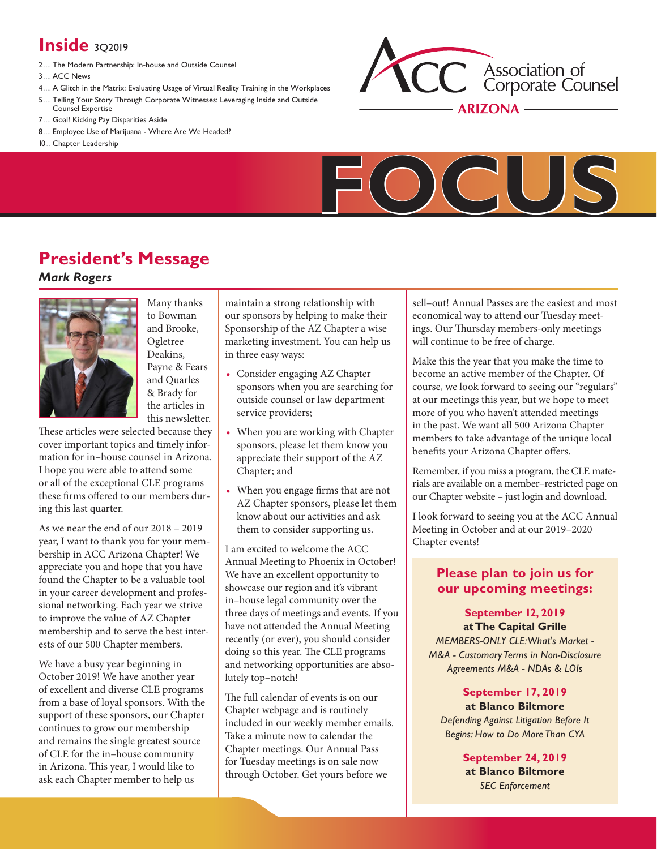# **Inside** 302019

- 2..... The Modern [Partnership:](#page-1-0) In-house and Outside Counsel
- 3..... ACC [News](#page-2-0)
- 4..... A Glitch in the Matrix: Evaluating Usage of Virtual Reality Training in the [Workplaces](#page-3-0)
- 5..... Telling Your Story Through Corporate [Witnesses:](#page-4-0) Leveraging Inside and Outside Counsel [Expertise](#page-4-0)
- 7..... Goal! Kicking Pay [Disparities](#page-6-0) Aside
- 8..... [Employee](#page-7-0) Use of Marijuana Where Are We Headed?
- 10... Chapter [Leadership](#page-9-0)





# **President's Message**

# *Mark Rogers*



Many thanks to Bowman and Brooke, Ogletree Deakins, Payne & Fears and Quarles & Brady for the articles in this newsletter.

These articles were selected because they cover important topics and timely information for in–house counsel in Arizona. I hope you were able to attend some or all of the exceptional CLE programs these firms offered to our members during this last quarter.

As we near the end of our 2018 – 2019 year, I want to thank you for your membership in ACC Arizona Chapter! We appreciate you and hope that you have found the Chapter to be a valuable tool in your career development and professional networking. Each year we strive to improve the value of AZ Chapter membership and to serve the best interests of our 500 Chapter members.

We have a busy year beginning in October 2019! We have another year of excellent and diverse CLE programs from a base of loyal sponsors. With the support of these sponsors, our Chapter continues to grow our membership and remains the single greatest source of CLE for the in–house community in Arizona. This year, I would like to ask each Chapter member to help us

maintain a strong relationship with our sponsors by helping to make their Sponsorship of the AZ Chapter a wise marketing investment. You can help us in three easy ways:

- **•** Consider engaging AZ Chapter sponsors when you are searching for outside counsel or law department service providers;
- **•** When you are working with Chapter sponsors, please let them know you appreciate their support of the AZ Chapter; and
- **•** When you engage firms that are not AZ Chapter sponsors, please let them know about our activities and ask them to consider supporting us.

I am excited to welcome the ACC Annual Meeting to Phoenix in October! We have an excellent opportunity to showcase our region and it's vibrant in–house legal community over the three days of meetings and events. If you have not attended the Annual Meeting recently (or ever), you should consider doing so this year. The CLE programs and networking opportunities are absolutely top–notch!

The full calendar of events is on our Chapter webpage and is routinely included in our weekly member emails. Take a minute now to calendar the Chapter meetings. Our Annual Pass for Tuesday meetings is on sale now through October. Get yours before we

sell–out! Annual Passes are the easiest and most economical way to attend our Tuesday meetings. Our Thursday members-only meetings will continue to be free of charge.

Make this the year that you make the time to become an active member of the Chapter. Of course, we look forward to seeing our "regulars" at our meetings this year, but we hope to meet more of you who haven't attended meetings in the past. We want all 500 Arizona Chapter members to take advantage of the unique local benefits your Arizona Chapter offers.

Remember, if you miss a program, the CLE materials are available on a member–restricted page on our Chapter website – just login and download.

I look forward to seeing you at the ACC Annual Meeting in October and at our 2019–2020 Chapter events!

# **[Please plan to join us for](https://www.acc.com/chapters-networks/chapters/arizona/events)  our upcoming meetings:**

# **September 12, 2019 at The Capital Grille**

*MEMBERS-ONLY CLE: What's Market - M&A - Customary Terms in Non-Disclosure Agreements M&A - NDAs & LOIs*

## **September 17, 2019 at Blanco Biltmore**

*Defending Against Litigation Before It Begins: How to Do More Than CYA*

> **September 24, 2019 at Blanco Biltmore**  *SEC Enforcement*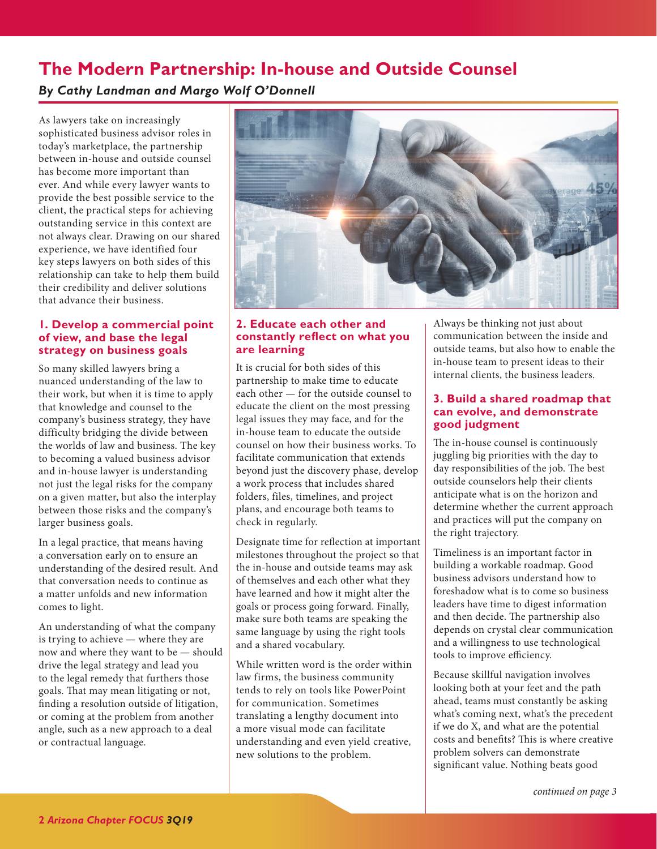# <span id="page-1-1"></span><span id="page-1-0"></span>**The Modern Partnership: In-house and Outside Counsel**

# *By Cathy Landman and Margo Wolf O'Donnell*

As lawyers take on increasingly sophisticated business advisor roles in today's marketplace, the partnership between in-house and outside counsel has become more important than ever. And while every lawyer wants to provide the best possible service to the client, the practical steps for achieving outstanding service in this context are not always clear. Drawing on our shared experience, we have identified four key steps lawyers on both sides of this relationship can take to help them build their credibility and deliver solutions that advance their business.

# **1. Develop a commercial point of view, and base the legal strategy on business goals**

So many skilled lawyers bring a nuanced understanding of the law to their work, but when it is time to apply that knowledge and counsel to the company's business strategy, they have difficulty bridging the divide between the worlds of law and business. The key to becoming a valued business advisor and in-house lawyer is understanding not just the legal risks for the company on a given matter, but also the interplay between those risks and the company's larger business goals.

In a legal practice, that means having a conversation early on to ensure an understanding of the desired result. And that conversation needs to continue as a matter unfolds and new information comes to light.

An understanding of what the company is trying to achieve — where they are now and where they want to be — should drive the legal strategy and lead you to the legal remedy that furthers those goals. That may mean litigating or not, finding a resolution outside of litigation, or coming at the problem from another angle, such as a new approach to a deal or contractual language.



# **2. Educate each other and constantly reflect on what you are learning**

It is crucial for both sides of this partnership to make time to educate each other — for the outside counsel to educate the client on the most pressing legal issues they may face, and for the in-house team to educate the outside counsel on how their business works. To facilitate communication that extends beyond just the discovery phase, develop a work process that includes shared folders, files, timelines, and project plans, and encourage both teams to check in regularly.

Designate time for reflection at important milestones throughout the project so that the in-house and outside teams may ask of themselves and each other what they have learned and how it might alter the goals or process going forward. Finally, make sure both teams are speaking the same language by using the right tools and a shared vocabulary.

While written word is the order within law firms, the business community tends to rely on tools like PowerPoint for communication. Sometimes translating a lengthy document into a more visual mode can facilitate understanding and even yield creative, new solutions to the problem.

Always be thinking not just about communication between the inside and outside teams, but also how to enable the in-house team to present ideas to their internal clients, the business leaders.

# **3. Build a shared roadmap that can evolve, and demonstrate good judgment**

The in-house counsel is continuously juggling big priorities with the day to day responsibilities of the job. The best outside counselors help their clients anticipate what is on the horizon and determine whether the current approach and practices will put the company on the right trajectory.

Timeliness is an important factor in building a workable roadmap. Good business advisors understand how to foreshadow what is to come so business leaders have time to digest information and then decide. The partnership also depends on crystal clear communication and a willingness to use technological tools to improve efficiency.

Because skillful navigation involves looking both at your feet and the path ahead, teams must constantly be asking what's coming next, what's the precedent if we do X, and what are the potential costs and benefits? This is where creative problem solvers can demonstrate significant value. Nothing beats good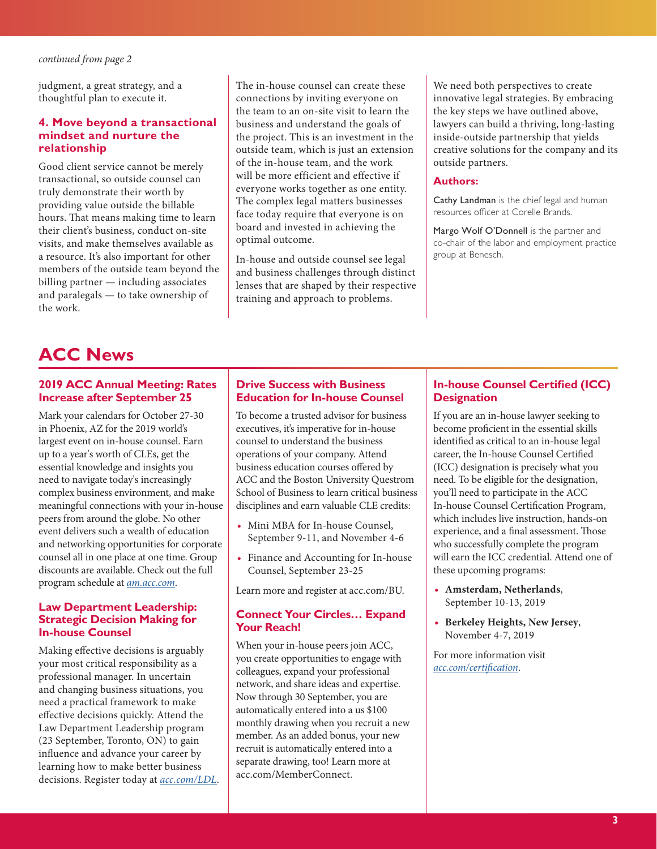<span id="page-2-1"></span>judgment, a great strategy, and a thoughtful plan to execute it.

### **4. Move beyond a transactional mindset and nurture the relationship**

Good client service cannot be merely transactional, so outside counsel can truly demonstrate their worth by providing value outside the billable hours. That means making time to learn their client's business, conduct on-site visits, and make themselves available as a resource. It's also important for other members of the outside team beyond the billing partner — including associates and paralegals — to take ownership of the work.

The in-house counsel can create these connections by inviting everyone on the team to an on-site visit to learn the business and understand the goals of the project. This is an investment in the outside team, which is just an extension of the in-house team, and the work will be more efficient and effective if everyone works together as one entity. The complex legal matters businesses face today require that everyone is on board and invested in achieving the optimal outcome.

In-house and outside counsel see legal and business challenges through distinct lenses that are shaped by their respective training and approach to problems.

We need both perspectives to create innovative legal strategies. By embracing the key steps we have outlined above, lawyers can build a thriving, long-lasting inside-outside partnership that yields creative solutions for the company and its outside partners.

#### **Authors:**

Cathy Landman is the chief legal and human resources officer at Corelle Brands.

Margo Wolf O'Donnell is the partner and co-chair of the labor and employment practice group at Benesch.

# <span id="page-2-0"></span>**ACC News**

### **2019 ACC Annual Meeting: Rates Increase after September 25**

Mark your calendars for October 27-30 in Phoenix, AZ for the 2019 world's largest event on in-house counsel. Earn up to a year's worth of CLEs, get the essential knowledge and insights you need to navigate today's increasingly complex business environment, and make meaningful connections with your in-house peers from around the globe. No other event delivers such a wealth of education and networking opportunities for corporate counsel all in one place at one time. Group discounts are available. Check out the full program schedule at *[am.acc.com](https://www2.acc.com/education/am2019/)*.

#### **Law Department Leadership: Strategic Decision Making for In-house Counsel**

Making effective decisions is arguably your most critical responsibility as a professional manager. In uncertain and changing business situations, you need a practical framework to make effective decisions quickly. Attend the Law Department Leadership program (23 September, Toronto, ON) to gain influence and advance your career by learning how to make better business decisions. Register today at *a[cc.com/LDL](https://www.acc.com/law-department-leadership-strategic-decision-making)*.

## **Drive Success with Business Education for In-house Counsel**

To become a trusted advisor for business executives, it's imperative for in-house counsel to understand the business operations of your company. Attend business education courses offered by ACC and the Boston University Questrom School of Business to learn critical business disciplines and earn valuable CLE credits:

- **•** Mini MBA for In-house Counsel, September 9-11, and November 4-6
- **•** Finance and Accounting for In-house Counsel, September 23-25

Learn more and register at [acc.com/BU.](https://www2.acc.com/education/businessedu/index.cfm )

## **Connect Your Circles… Expand Your Reach!**

When your in-house peers join ACC, you create opportunities to engage with colleagues, expand your professional network, and share ideas and expertise. Now through 30 September, you are automatically entered into a us \$100 monthly drawing when you recruit a new member. As an added bonus, your new recruit is automatically entered into a separate drawing, too! Learn more at [acc.com/MemberConnect](https://www.acc.com/membership/recruit-a-member).

# **In-house Counsel Certified (ICC) Designation**

If you are an in-house lawyer seeking to become proficient in the essential skills identified as critical to an in-house legal career, the In-house Counsel Certified (ICC) designation is precisely what you need. To be eligible for the designation, you'll need to participate in the ACC In-house Counsel Certification Program, which includes live instruction, hands-on experience, and a final assessment. Those who successfully complete the program will earn the ICC credential. Attend one of these upcoming programs:

- **• Amsterdam, Netherlands**, September 10-13, 2019
- **• Berkeley Heights, New Jersey**, November 4-7, 2019

For more information visit *[acc.com/certification](https://www2.acc.com/certification/)*.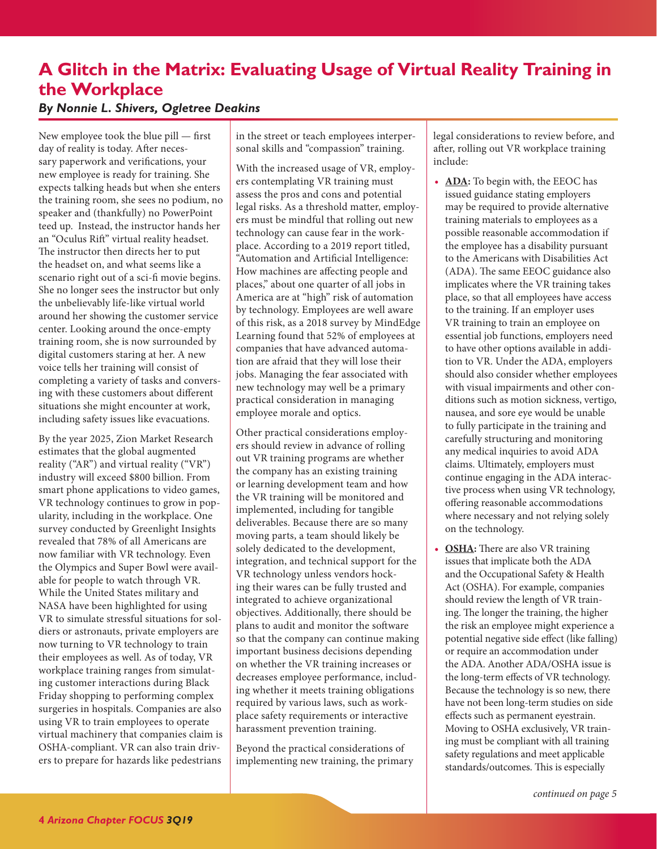# <span id="page-3-1"></span><span id="page-3-0"></span>**A Glitch in the Matrix: Evaluating Usage of Virtual Reality Training in the Workplace**

# *By Nonnie L. Shivers, Ogletree Deakins*

New employee took the blue pill — first day of reality is today. After necessary paperwork and verifications, your new employee is ready for training. She expects talking heads but when she enters the training room, she sees no podium, no speaker and (thankfully) no PowerPoint teed up. Instead, the instructor hands her an "Oculus Rift" virtual reality headset. The instructor then directs her to put the headset on, and what seems like a scenario right out of a sci-fi movie begins. She no longer sees the instructor but only the unbelievably life-like virtual world around her showing the customer service center. Looking around the once-empty training room, she is now surrounded by digital customers staring at her. A new voice tells her training will consist of completing a variety of tasks and conversing with these customers about different situations she might encounter at work, including safety issues like evacuations.

By the year 2025, Zion Market Research estimates that the global augmented reality ("AR") and virtual reality ("VR") industry will exceed \$800 billion. From smart phone applications to video games, VR technology continues to grow in popularity, including in the workplace. One survey conducted by Greenlight Insights revealed that 78% of all Americans are now familiar with VR technology. Even the Olympics and Super Bowl were available for people to watch through VR. While the United States military and NASA have been highlighted for using VR to simulate stressful situations for soldiers or astronauts, private employers are now turning to VR technology to train their employees as well. As of today, VR workplace training ranges from simulating customer interactions during Black Friday shopping to performing complex surgeries in hospitals. Companies are also using VR to train employees to operate virtual machinery that companies claim is OSHA-compliant. VR can also train drivers to prepare for hazards like pedestrians

in the street or teach employees interpersonal skills and "compassion" training.

With the increased usage of VR, employers contemplating VR training must assess the pros and cons and potential legal risks. As a threshold matter, employers must be mindful that rolling out new technology can cause fear in the workplace. According to a 2019 report titled, "Automation and Artificial Intelligence: How machines are affecting people and places," about one quarter of all jobs in America are at "high" risk of automation by technology. Employees are well aware of this risk, as a 2018 survey by MindEdge Learning found that 52% of employees at companies that have advanced automation are afraid that they will lose their jobs. Managing the fear associated with new technology may well be a primary practical consideration in managing employee morale and optics.

Other practical considerations employers should review in advance of rolling out VR training programs are whether the company has an existing training or learning development team and how the VR training will be monitored and implemented, including for tangible deliverables. Because there are so many moving parts, a team should likely be solely dedicated to the development, integration, and technical support for the VR technology unless vendors hocking their wares can be fully trusted and integrated to achieve organizational objectives. Additionally, there should be plans to audit and monitor the software so that the company can continue making important business decisions depending on whether the VR training increases or decreases employee performance, including whether it meets training obligations required by various laws, such as workplace safety requirements or interactive harassment prevention training.

Beyond the practical considerations of implementing new training, the primary legal considerations to review before, and after, rolling out VR workplace training include:

- **• ADA:** To begin with, the EEOC has issued guidance stating employers may be required to provide alternative training materials to employees as a possible reasonable accommodation if the employee has a disability pursuant to the Americans with Disabilities Act (ADA). The same EEOC guidance also implicates where the VR training takes place, so that all employees have access to the training. If an employer uses VR training to train an employee on essential job functions, employers need to have other options available in addition to VR. Under the ADA, employers should also consider whether employees with visual impairments and other conditions such as motion sickness, vertigo, nausea, and sore eye would be unable to fully participate in the training and carefully structuring and monitoring any medical inquiries to avoid ADA claims. Ultimately, employers must continue engaging in the ADA interactive process when using VR technology, offering reasonable accommodations where necessary and not relying solely on the technology.
- **OSHA:** There are also VR training issues that implicate both the ADA and the Occupational Safety & Health Act (OSHA). For example, companies should review the length of VR training. The longer the training, the higher the risk an employee might experience a potential negative side effect (like falling) or require an accommodation under the ADA. Another ADA/OSHA issue is the long-term effects of VR technology. Because the technology is so new, there have not been long-term studies on side effects such as permanent eyestrain. Moving to OSHA exclusively, VR training must be compliant with all training safety regulations and meet applicable standards/outcomes. This is especially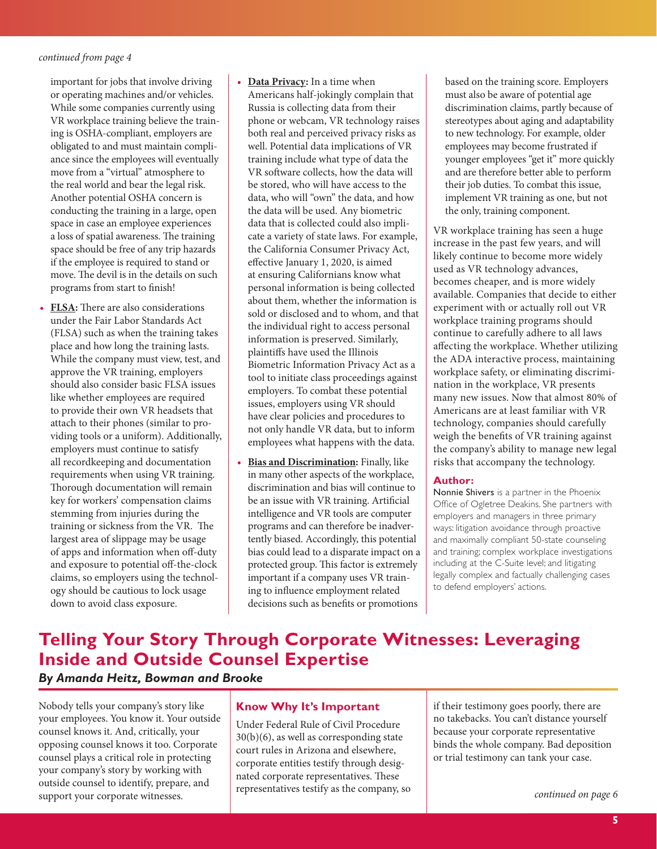<span id="page-4-1"></span>important for jobs that involve driving or operating machines and/or vehicles. While some companies currently using VR workplace training believe the training is OSHA-compliant, employers are obligated to and must maintain compliance since the employees will eventually move from a "virtual" atmosphere to the real world and bear the legal risk. Another potential OSHA concern is conducting the training in a large, open space in case an employee experiences a loss of spatial awareness. The training space should be free of any trip hazards if the employee is required to stand or move. The devil is in the details on such programs from start to finish!

- **• FLSA:** There are also considerations under the Fair Labor Standards Act (FLSA) such as when the training takes place and how long the training lasts. While the company must view, test, and approve the VR training, employers should also consider basic FLSA issues like whether employees are required to provide their own VR headsets that attach to their phones (similar to providing tools or a uniform). Additionally, employers must continue to satisfy all recordkeeping and documentation requirements when using VR training. Thorough documentation will remain key for workers' compensation claims stemming from injuries during the training or sickness from the VR. The largest area of slippage may be usage of apps and information when off-duty and exposure to potential off-the-clock claims, so employers using the technology should be cautious to lock usage down to avoid class exposure.
- **• Data Privacy:** In a time when Americans half-jokingly complain that Russia is collecting data from their phone or webcam, VR technology raises both real and perceived privacy risks as well. Potential data implications of VR training include what type of data the VR software collects, how the data will be stored, who will have access to the data, who will "own" the data, and how the data will be used. Any biometric data that is collected could also implicate a variety of state laws. For example, the California Consumer Privacy Act, effective January 1, 2020, is aimed at ensuring Californians know what personal information is being collected about them, whether the information is sold or disclosed and to whom, and that the individual right to access personal information is preserved. Similarly, plaintiffs have used the Illinois Biometric Information Privacy Act as a tool to initiate class proceedings against employers. To combat these potential issues, employers using VR should have clear policies and procedures to not only handle VR data, but to inform employees what happens with the data.
- **• Bias and Discrimination:** Finally, like in many other aspects of the workplace, discrimination and bias will continue to be an issue with VR training. Artificial intelligence and VR tools are computer programs and can therefore be inadvertently biased. Accordingly, this potential bias could lead to a disparate impact on a protected group. This factor is extremely important if a company uses VR training to influence employment related decisions such as benefits or promotions

based on the training score. Employers must also be aware of potential age discrimination claims, partly because of stereotypes about aging and adaptability to new technology. For example, older employees may become frustrated if younger employees "get it" more quickly and are therefore better able to perform their job duties. To combat this issue, implement VR training as one, but not the only, training component.

VR workplace training has seen a huge increase in the past few years, and will likely continue to become more widely used as VR technology advances, becomes cheaper, and is more widely available. Companies that decide to either experiment with or actually roll out VR workplace training programs should continue to carefully adhere to all laws affecting the workplace. Whether utilizing the ADA interactive process, maintaining workplace safety, or eliminating discrimination in the workplace, VR presents many new issues. Now that almost 80% of Americans are at least familiar with VR technology, companies should carefully weigh the benefits of VR training against the company's ability to manage new legal risks that accompany the technology.

#### **Author:**

Nonnie Shivers is a partner in the Phoenix Office of Ogletree Deakins. She partners with employers and managers in three primary ways: litigation avoidance through proactive and maximally compliant 50-state counseling and training; complex workplace investigations including at the C-Suite level; and litigating legally complex and factually challenging cases to defend employers' actions.

# <span id="page-4-0"></span>**Telling Your Story Through Corporate Witnesses: Leveraging Inside and Outside Counsel Expertise**

*By Amanda Heitz, Bowman and Brooke* 

Nobody tells your company's story like your employees. You know it. Your outside counsel knows it. And, critically, your opposing counsel knows it too. Corporate counsel plays a critical role in protecting your company's story by working with outside counsel to identify, prepare, and support your corporate witnesses.

# **Know Why It's Important**

Under Federal Rule of Civil Procedure 30(b)(6), as well as corresponding state court rules in Arizona and elsewhere, corporate entities testify through designated corporate representatives. These representatives testify as the company, so if their testimony goes poorly, there are no takebacks. You can't distance yourself because your corporate representative binds the whole company. Bad deposition or trial testimony can tank your case.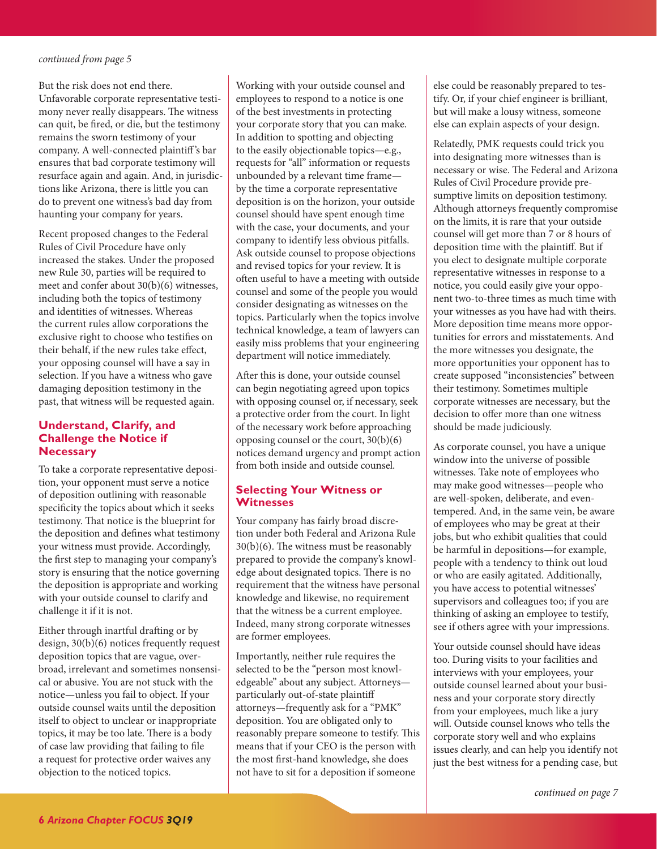<span id="page-5-0"></span>But the risk does not end there. Unfavorable corporate representative testimony never really disappears. The witness can quit, be fired, or die, but the testimony remains the sworn testimony of your company. A well-connected plaintiff 's bar ensures that bad corporate testimony will resurface again and again. And, in jurisdictions like Arizona, there is little you can do to prevent one witness's bad day from haunting your company for years.

Recent proposed changes to the Federal Rules of Civil Procedure have only increased the stakes. Under the proposed new Rule 30, parties will be required to meet and confer about 30(b)(6) witnesses, including both the topics of testimony and identities of witnesses. Whereas the current rules allow corporations the exclusive right to choose who testifies on their behalf, if the new rules take effect, your opposing counsel will have a say in selection. If you have a witness who gave damaging deposition testimony in the past, that witness will be requested again.

## **Understand, Clarify, and Challenge the Notice if Necessary**

To take a corporate representative deposition, your opponent must serve a notice of deposition outlining with reasonable specificity the topics about which it seeks testimony. That notice is the blueprint for the deposition and defines what testimony your witness must provide. Accordingly, the first step to managing your company's story is ensuring that the notice governing the deposition is appropriate and working with your outside counsel to clarify and challenge it if it is not.

Either through inartful drafting or by design, 30(b)(6) notices frequently request deposition topics that are vague, overbroad, irrelevant and sometimes nonsensical or abusive. You are not stuck with the notice—unless you fail to object. If your outside counsel waits until the deposition itself to object to unclear or inappropriate topics, it may be too late. There is a body of case law providing that failing to file a request for protective order waives any objection to the noticed topics.

Working with your outside counsel and employees to respond to a notice is one of the best investments in protecting your corporate story that you can make. In addition to spotting and objecting to the easily objectionable topics—e.g., requests for "all" information or requests unbounded by a relevant time frame by the time a corporate representative deposition is on the horizon, your outside counsel should have spent enough time with the case, your documents, and your company to identify less obvious pitfalls. Ask outside counsel to propose objections and revised topics for your review. It is often useful to have a meeting with outside counsel and some of the people you would consider designating as witnesses on the topics. Particularly when the topics involve technical knowledge, a team of lawyers can easily miss problems that your engineering department will notice immediately.

After this is done, your outside counsel can begin negotiating agreed upon topics with opposing counsel or, if necessary, seek a protective order from the court. In light of the necessary work before approaching opposing counsel or the court, 30(b)(6) notices demand urgency and prompt action from both inside and outside counsel.

# **Selecting Your Witness or Witnesses**

Your company has fairly broad discretion under both Federal and Arizona Rule 30(b)(6). The witness must be reasonably prepared to provide the company's knowledge about designated topics. There is no requirement that the witness have personal knowledge and likewise, no requirement that the witness be a current employee. Indeed, many strong corporate witnesses are former employees.

Importantly, neither rule requires the selected to be the "person most knowledgeable" about any subject. Attorneys particularly out-of-state plaintiff attorneys—frequently ask for a "PMK" deposition. You are obligated only to reasonably prepare someone to testify. This means that if your CEO is the person with the most first-hand knowledge, she does not have to sit for a deposition if someone

else could be reasonably prepared to testify. Or, if your chief engineer is brilliant, but will make a lousy witness, someone else can explain aspects of your design.

Relatedly, PMK requests could trick you into designating more witnesses than is necessary or wise. The Federal and Arizona Rules of Civil Procedure provide presumptive limits on deposition testimony. Although attorneys frequently compromise on the limits, it is rare that your outside counsel will get more than 7 or 8 hours of deposition time with the plaintiff. But if you elect to designate multiple corporate representative witnesses in response to a notice, you could easily give your opponent two-to-three times as much time with your witnesses as you have had with theirs. More deposition time means more opportunities for errors and misstatements. And the more witnesses you designate, the more opportunities your opponent has to create supposed "inconsistencies" between their testimony. Sometimes multiple corporate witnesses are necessary, but the decision to offer more than one witness should be made judiciously.

As corporate counsel, you have a unique window into the universe of possible witnesses. Take note of employees who may make good witnesses—people who are well-spoken, deliberate, and eventempered. And, in the same vein, be aware of employees who may be great at their jobs, but who exhibit qualities that could be harmful in depositions—for example, people with a tendency to think out loud or who are easily agitated. Additionally, you have access to potential witnesses' supervisors and colleagues too; if you are thinking of asking an employee to testify, see if others agree with your impressions.

Your outside counsel should have ideas too. During visits to your facilities and interviews with your employees, your outside counsel learned about your business and your corporate story directly from your employees, much like a jury will. Outside counsel knows who tells the corporate story well and who explains issues clearly, and can help you identify not just the best witness for a pending case, but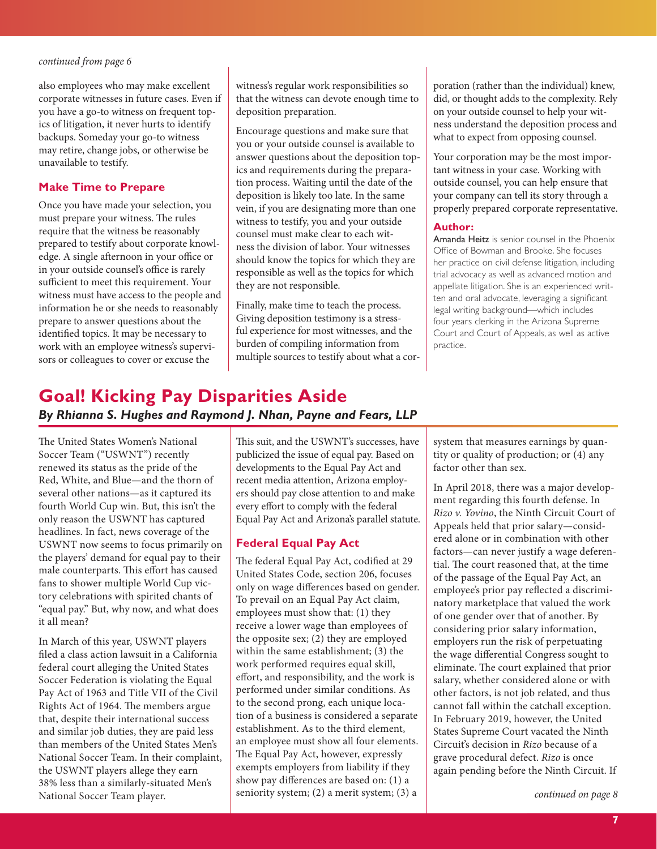<span id="page-6-1"></span>also employees who may make excellent corporate witnesses in future cases. Even if you have a go-to witness on frequent topics of litigation, it never hurts to identify backups. Someday your go-to witness may retire, change jobs, or otherwise be unavailable to testify.

#### **Make Time to Prepare**

Once you have made your selection, you must prepare your witness. The rules require that the witness be reasonably prepared to testify about corporate knowledge. A single afternoon in your office or in your outside counsel's office is rarely sufficient to meet this requirement. Your witness must have access to the people and information he or she needs to reasonably prepare to answer questions about the identified topics. It may be necessary to work with an employee witness's supervisors or colleagues to cover or excuse the

witness's regular work responsibilities so that the witness can devote enough time to deposition preparation.

Encourage questions and make sure that you or your outside counsel is available to answer questions about the deposition topics and requirements during the preparation process. Waiting until the date of the deposition is likely too late. In the same vein, if you are designating more than one witness to testify, you and your outside counsel must make clear to each witness the division of labor. Your witnesses should know the topics for which they are responsible as well as the topics for which they are not responsible.

Finally, make time to teach the process. Giving deposition testimony is a stressful experience for most witnesses, and the burden of compiling information from multiple sources to testify about what a corporation (rather than the individual) knew, did, or thought adds to the complexity. Rely on your outside counsel to help your witness understand the deposition process and what to expect from opposing counsel.

Your corporation may be the most important witness in your case. Working with outside counsel, you can help ensure that your company can tell its story through a properly prepared corporate representative.

#### **Author:**

Amanda Heitz is senior counsel in the Phoenix Office of Bowman and Brooke. She focuses her practice on civil defense litigation, including trial advocacy as well as advanced motion and appellate litigation. She is an experienced written and oral advocate, leveraging a significant legal writing background—which includes four years clerking in the Arizona Supreme Court and Court of Appeals, as well as active practice.

# <span id="page-6-0"></span>**Goal! Kicking Pay Disparities Aside**  *By Rhianna S. Hughes and Raymond J. Nhan, Payne and Fears, LLP*

The United States Women's National Soccer Team ("USWNT") recently renewed its status as the pride of the Red, White, and Blue—and the thorn of several other nations—as it captured its fourth World Cup win. But, this isn't the only reason the USWNT has captured headlines. In fact, news coverage of the USWNT now seems to focus primarily on the players' demand for equal pay to their male counterparts. This effort has caused fans to shower multiple World Cup victory celebrations with spirited chants of "equal pay." But, why now, and what does it all mean?

In March of this year, USWNT players filed a class action lawsuit in a California federal court alleging the United States Soccer Federation is violating the Equal Pay Act of 1963 and Title VII of the Civil Rights Act of 1964. The members argue that, despite their international success and similar job duties, they are paid less than members of the United States Men's National Soccer Team. In their complaint, the USWNT players allege they earn 38% less than a similarly-situated Men's National Soccer Team player.

This suit, and the USWNT's successes, have publicized the issue of equal pay. Based on developments to the Equal Pay Act and recent media attention, Arizona employers should pay close attention to and make every effort to comply with the federal Equal Pay Act and Arizona's parallel statute.

# **Federal Equal Pay Act**

The federal Equal Pay Act, codified at 29 United States Code, section 206, focuses only on wage differences based on gender. To prevail on an Equal Pay Act claim, employees must show that: (1) they receive a lower wage than employees of the opposite sex; (2) they are employed within the same establishment; (3) the work performed requires equal skill, effort, and responsibility, and the work is performed under similar conditions. As to the second prong, each unique location of a business is considered a separate establishment. As to the third element, an employee must show all four elements. The Equal Pay Act, however, expressly exempts employers from liability if they show pay differences are based on: (1) a seniority system; (2) a merit system; (3) a

system that measures earnings by quantity or quality of production; or (4) any factor other than sex.

In April 2018, there was a major development regarding this fourth defense. In *Rizo v. Yovino*, the Ninth Circuit Court of Appeals held that prior salary—considered alone or in combination with other factors—can never justify a wage deferential. The court reasoned that, at the time of the passage of the Equal Pay Act, an employee's prior pay reflected a discriminatory marketplace that valued the work of one gender over that of another. By considering prior salary information, employers run the risk of perpetuating the wage differential Congress sought to eliminate. The court explained that prior salary, whether considered alone or with other factors, is not job related, and thus cannot fall within the catchall exception. In February 2019, however, the United States Supreme Court vacated the Ninth Circuit's decision in *Rizo* because of a grave procedural defect. *Rizo* is once again pending before the Ninth Circuit. If

*[continued on page 8](#page-7-1)*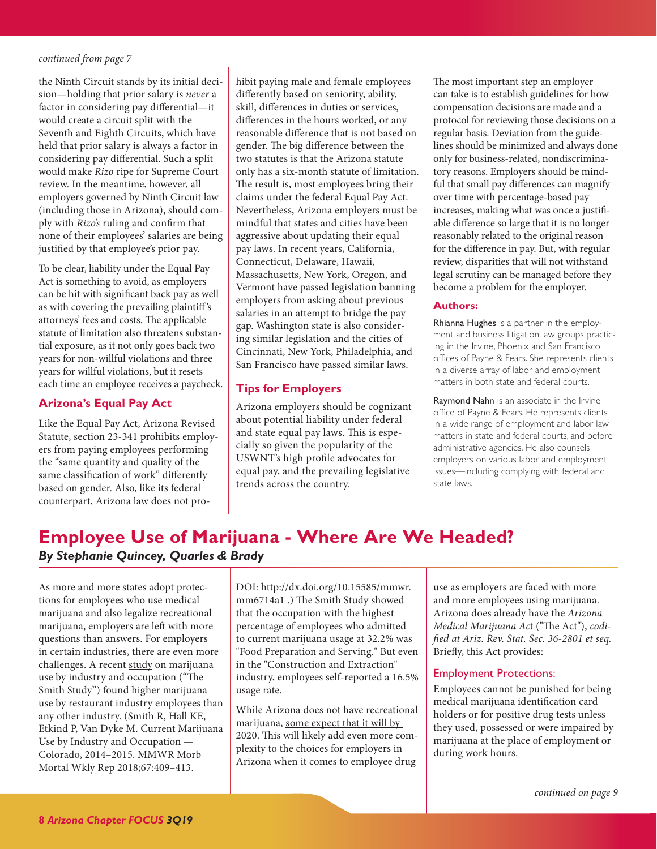<span id="page-7-1"></span>the Ninth Circuit stands by its initial decision—holding that prior salary is *never* a factor in considering pay differential—it would create a circuit split with the Seventh and Eighth Circuits, which have held that prior salary is always a factor in considering pay differential. Such a split would make *Rizo* ripe for Supreme Court review. In the meantime, however, all employers governed by Ninth Circuit law (including those in Arizona), should comply with *Rizo's* ruling and confirm that none of their employees' salaries are being justified by that employee's prior pay.

To be clear, liability under the Equal Pay Act is something to avoid, as employers can be hit with significant back pay as well as with covering the prevailing plaintiff 's attorneys' fees and costs. The applicable statute of limitation also threatens substantial exposure, as it not only goes back two years for non-willful violations and three years for willful violations, but it resets each time an employee receives a paycheck.

# **Arizona's Equal Pay Act**

Like the Equal Pay Act, Arizona Revised Statute, section 23-341 prohibits employers from paying employees performing the "same quantity and quality of the same classification of work" differently based on gender. Also, like its federal counterpart, Arizona law does not pro-

hibit paying male and female employees differently based on seniority, ability, skill, differences in duties or services, differences in the hours worked, or any reasonable difference that is not based on gender. The big difference between the two statutes is that the Arizona statute only has a six-month statute of limitation. The result is, most employees bring their claims under the federal Equal Pay Act. Nevertheless, Arizona employers must be mindful that states and cities have been aggressive about updating their equal pay laws. In recent years, California, Connecticut, Delaware, Hawaii, Massachusetts, New York, Oregon, and Vermont have passed legislation banning employers from asking about previous salaries in an attempt to bridge the pay gap. Washington state is also considering similar legislation and the cities of Cincinnati, New York, Philadelphia, and San Francisco have passed similar laws.

## **Tips for Employers**

Arizona employers should be cognizant about potential liability under federal and state equal pay laws. This is especially so given the popularity of the USWNT's high profile advocates for equal pay, and the prevailing legislative trends across the country.

The most important step an employer can take is to establish guidelines for how compensation decisions are made and a protocol for reviewing those decisions on a regular basis. Deviation from the guidelines should be minimized and always done only for business-related, nondiscriminatory reasons. Employers should be mindful that small pay differences can magnify over time with percentage-based pay increases, making what was once a justifiable difference so large that it is no longer reasonably related to the original reason for the difference in pay. But, with regular review, disparities that will not withstand legal scrutiny can be managed before they become a problem for the employer.

#### **Authors:**

Rhianna Hughes is a partner in the employment and business litigation law groups practicing in the Irvine, Phoenix and San Francisco offices of Payne & Fears. She represents clients in a diverse array of labor and employment matters in both state and federal courts.

Raymond Nahn is an associate in the Irvine office of Payne & Fears. He represents clients in a wide range of employment and labor law matters in state and federal courts, and before administrative agencies. He also counsels employers on various labor and employment issues—including complying with federal and state laws.

# <span id="page-7-0"></span>**Employee Use of Marijuana - Where Are We Headed?** *By Stephanie Quincey, Quarles & Brady*

As more and more states adopt protections for employees who use medical marijuana and also legalize recreational marijuana, employers are left with more questions than answers. For employers in certain industries, there are even more challenges. A recent [study](https://www.cdc.gov/mmwr/volumes/67/wr/mm6714a1.htm) on marijuana use by industry and occupation ("The Smith Study") found higher marijuana use by restaurant industry employees than any other industry. (Smith R, Hall KE, Etkind P, Van Dyke M. Current Marijuana Use by Industry and Occupation — Colorado, 2014–2015. MMWR Morb Mortal Wkly Rep 2018;67:409–413.

DOI: http://dx.doi.org/10.15585/mmwr. mm6714a1 .) The Smith Study showed that the occupation with the highest percentage of employees who admitted to current marijuana usage at 32.2% was "Food Preparation and Serving." But even in the "Construction and Extraction" industry, employees self-reported a 16.5% usage rate.

While Arizona does not have recreational marijuana, [some expect that it will by](https://azmarijuana.com/arizona-medical-marijuana-news/the-2020-adult-use-marijuana-campaign-in-arizona-is-about-to-launch/)  [2020.](https://azmarijuana.com/arizona-medical-marijuana-news/the-2020-adult-use-marijuana-campaign-in-arizona-is-about-to-launch/) This will likely add even more complexity to the choices for employers in Arizona when it comes to employee drug

use as employers are faced with more and more employees using marijuana. Arizona does already have the *Arizona Medical Marijuana Ac*t ("The Act"), *codified at Ariz. Rev. Stat. Sec. 36-2801 et seq.* Briefly, this Act provides:

#### Employment Protections:

Employees cannot be punished for being medical marijuana identification card holders or for positive drug tests unless they used, possessed or were impaired by marijuana at the place of employment or during work hours.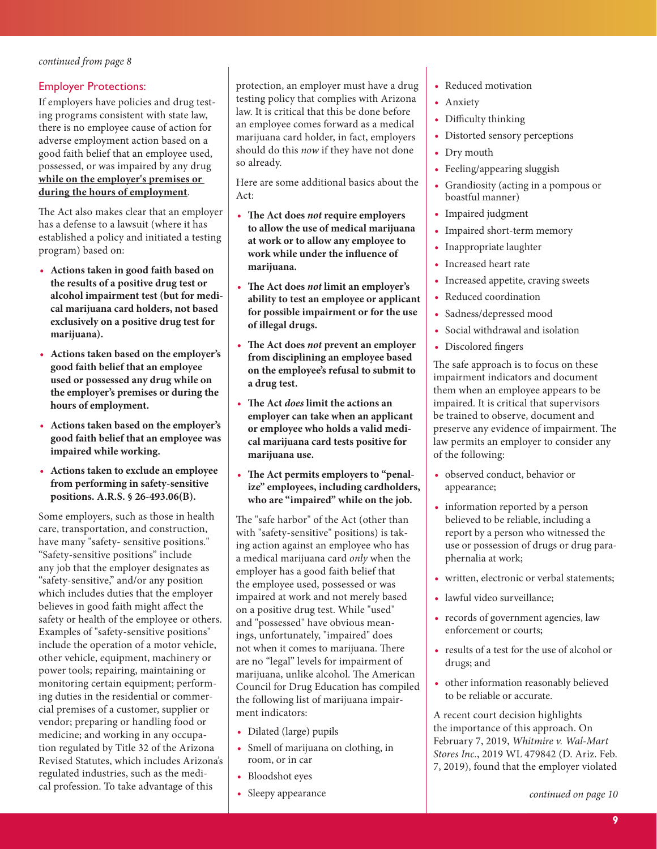### <span id="page-8-0"></span>Employer Protections:

If employers have policies and drug testing programs consistent with state law, there is no employee cause of action for adverse employment action based on a good faith belief that an employee used, possessed, or was impaired by any drug **while on the employer's premises or during the hours of employment**.

The Act also makes clear that an employer has a defense to a lawsuit (where it has established a policy and initiated a testing program) based on:

- **• Actions taken in good faith based on the results of a positive drug test or alcohol impairment test (but for medical marijuana card holders, not based exclusively on a positive drug test for marijuana).**
- **• Actions taken based on the employer's good faith belief that an employee used or possessed any drug while on the employer's premises or during the hours of employment.**
- **• Actions taken based on the employer's good faith belief that an employee was impaired while working.**
- **• Actions taken to exclude an employee from performing in safety-sensitive positions. A.R.S. § 26-493.06(B).**

Some employers, such as those in health care, transportation, and construction, have many "safety- sensitive positions." "Safety-sensitive positions" include any job that the employer designates as "safety-sensitive," and/or any position which includes duties that the employer believes in good faith might affect the safety or health of the employee or others. Examples of "safety-sensitive positions" include the operation of a motor vehicle, other vehicle, equipment, machinery or power tools; repairing, maintaining or monitoring certain equipment; performing duties in the residential or commercial premises of a customer, supplier or vendor; preparing or handling food or medicine; and working in any occupation regulated by Title 32 of the Arizona Revised Statutes, which includes Arizona's regulated industries, such as the medical profession. To take advantage of this

protection, an employer must have a drug testing policy that complies with Arizona law. It is critical that this be done before an employee comes forward as a medical marijuana card holder, in fact, employers should do this *now* if they have not done so already.

Here are some additional basics about the Act:

- **• The Act does** *not* **require employers to allow the use of medical marijuana at work or to allow any employee to work while under the influence of marijuana.**
- **• The Act does** *not* **limit an employer's ability to test an employee or applicant for possible impairment or for the use of illegal drugs.**
- **• The Act does** *not* **prevent an employer from disciplining an employee based on the employee's refusal to submit to a drug test.**
- **• The Act** *does* **limit the actions an employer can take when an applicant or employee who holds a valid medical marijuana card tests positive for marijuana use.**
- **• The Act permits employers to "penalize" employees, including cardholders, who are "impaired" while on the job.**

The "safe harbor" of the Act (other than with "safety-sensitive" positions) is taking action against an employee who has a medical marijuana card *only* when the employer has a good faith belief that the employee used, possessed or was impaired at work and not merely based on a positive drug test. While "used" and "possessed" have obvious meanings, unfortunately, "impaired" does not when it comes to marijuana. There are no "legal" levels for impairment of marijuana, unlike alcohol. The American Council for Drug Education has compiled the following list of marijuana impairment indicators:

- **•** Dilated (large) pupils
- **•** Smell of marijuana on clothing, in room, or in car
- **•** Bloodshot eyes
- **•** Sleepy appearance
- **•** Reduced motivation
- **•** Anxiety
- **•** Difficulty thinking
- **•** Distorted sensory perceptions
- **•** Dry mouth
- **•** Feeling/appearing sluggish
- **•** Grandiosity (acting in a pompous or boastful manner)
- **•** Impaired judgment
- **•** Impaired short-term memory
- **•** Inappropriate laughter
- **•** Increased heart rate
- **•** Increased appetite, craving sweets
- **•** Reduced coordination
- **•** Sadness/depressed mood
- **•** Social withdrawal and isolation
- **•** Discolored fingers

The safe approach is to focus on these impairment indicators and document them when an employee appears to be impaired. It is critical that supervisors be trained to observe, document and preserve any evidence of impairment. The law permits an employer to consider any of the following:

- **•** observed conduct, behavior or appearance;
- **•** information reported by a person believed to be reliable, including a report by a person who witnessed the use or possession of drugs or drug paraphernalia at work;
- **•** written, electronic or verbal statements;
- **•** lawful video surveillance;
- **•** records of government agencies, law enforcement or courts;
- **•** results of a test for the use of alcohol or drugs; and
- **•** other information reasonably believed to be reliable or accurate.

A recent court decision highlights the importance of this approach. On February 7, 2019, *Whitmire v. Wal-Mart Stores Inc.*, 2019 WL 479842 (D. Ariz. Feb. 7, 2019), found that the employer violated

*[continued on page 10](#page-9-1)*